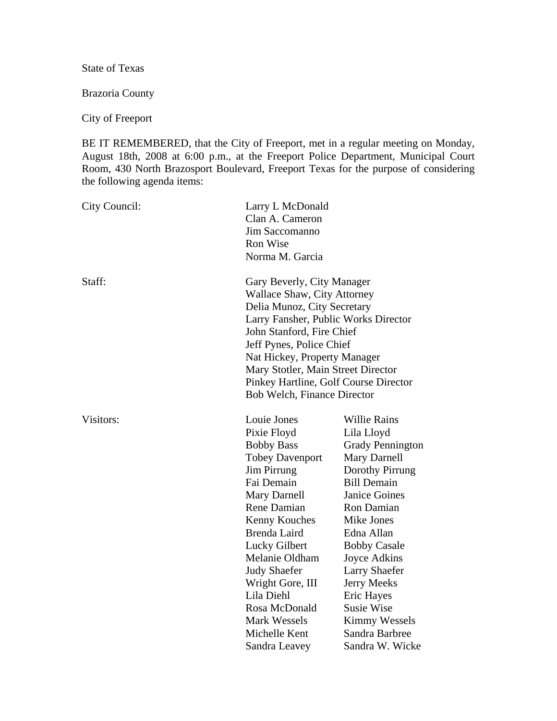State of Texas

Brazoria County

City of Freeport

BE IT REMEMBERED, that the City of Freeport, met in a regular meeting on Monday, August 18th, 2008 at 6:00 p.m., at the Freeport Police Department, Municipal Court Room, 430 North Brazosport Boulevard, Freeport Texas for the purpose of considering the following agenda items:

| City Council: | Larry L McDonald<br>Clan A. Cameron<br>Jim Saccomanno<br>Ron Wise<br>Norma M. Garcia                                                                                                                                                                                                                                                         |                                                                                                                                                                                                                                                                                                                                                                       |  |
|---------------|----------------------------------------------------------------------------------------------------------------------------------------------------------------------------------------------------------------------------------------------------------------------------------------------------------------------------------------------|-----------------------------------------------------------------------------------------------------------------------------------------------------------------------------------------------------------------------------------------------------------------------------------------------------------------------------------------------------------------------|--|
| Staff:        |                                                                                                                                                                                                                                                                                                                                              | Gary Beverly, City Manager<br><b>Wallace Shaw, City Attorney</b><br>Delia Munoz, City Secretary<br>Larry Fansher, Public Works Director<br>John Stanford, Fire Chief<br>Jeff Pynes, Police Chief<br>Nat Hickey, Property Manager<br>Mary Stotler, Main Street Director<br>Pinkey Hartline, Golf Course Director<br>Bob Welch, Finance Director                        |  |
| Visitors:     | Louie Jones<br>Pixie Floyd<br><b>Bobby Bass</b><br><b>Tobey Davenport</b><br>Jim Pirrung<br>Fai Demain<br>Mary Darnell<br>Rene Damian<br>Kenny Kouches<br>Brenda Laird<br>Lucky Gilbert<br>Melanie Oldham<br><b>Judy Shaefer</b><br>Wright Gore, III<br>Lila Diehl<br>Rosa McDonald<br><b>Mark Wessels</b><br>Michelle Kent<br>Sandra Leavey | <b>Willie Rains</b><br>Lila Lloyd<br><b>Grady Pennington</b><br>Mary Darnell<br>Dorothy Pirrung<br><b>Bill Demain</b><br>Janice Goines<br>Ron Damian<br>Mike Jones<br>Edna Allan<br><b>Bobby Casale</b><br>Joyce Adkins<br><b>Larry Shaefer</b><br><b>Jerry Meeks</b><br>Eric Hayes<br><b>Susie Wise</b><br><b>Kimmy Wessels</b><br>Sandra Barbree<br>Sandra W. Wicke |  |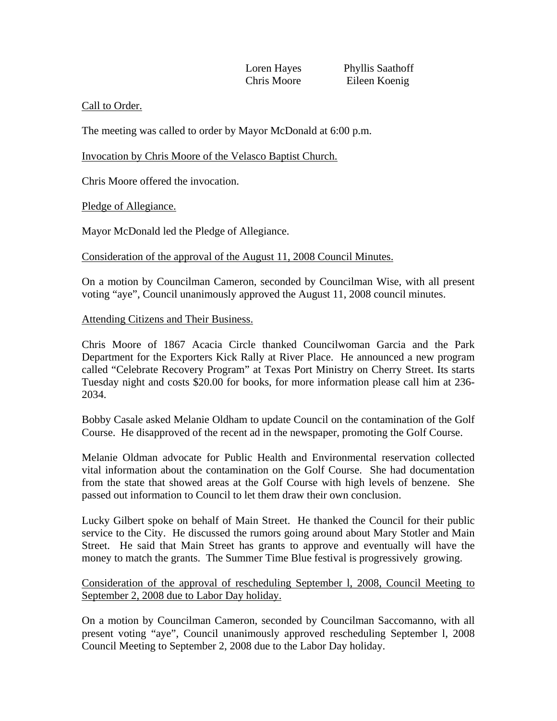Loren Hayes Phyllis Saathoff Chris Moore Eileen Koenig

# Call to Order.

The meeting was called to order by Mayor McDonald at 6:00 p.m.

Invocation by Chris Moore of the Velasco Baptist Church.

Chris Moore offered the invocation.

Pledge of Allegiance.

Mayor McDonald led the Pledge of Allegiance.

Consideration of the approval of the August 11, 2008 Council Minutes.

On a motion by Councilman Cameron, seconded by Councilman Wise, with all present voting "aye", Council unanimously approved the August 11, 2008 council minutes.

### Attending Citizens and Their Business.

Chris Moore of 1867 Acacia Circle thanked Councilwoman Garcia and the Park Department for the Exporters Kick Rally at River Place. He announced a new program called "Celebrate Recovery Program" at Texas Port Ministry on Cherry Street. Its starts Tuesday night and costs \$20.00 for books, for more information please call him at 236- 2034.

Bobby Casale asked Melanie Oldham to update Council on the contamination of the Golf Course. He disapproved of the recent ad in the newspaper, promoting the Golf Course.

Melanie Oldman advocate for Public Health and Environmental reservation collected vital information about the contamination on the Golf Course. She had documentation from the state that showed areas at the Golf Course with high levels of benzene. She passed out information to Council to let them draw their own conclusion.

Lucky Gilbert spoke on behalf of Main Street. He thanked the Council for their public service to the City. He discussed the rumors going around about Mary Stotler and Main Street. He said that Main Street has grants to approve and eventually will have the money to match the grants. The Summer Time Blue festival is progressively growing.

## Consideration of the approval of rescheduling September l, 2008, Council Meeting to September 2, 2008 due to Labor Day holiday.

On a motion by Councilman Cameron, seconded by Councilman Saccomanno, with all present voting "aye", Council unanimously approved rescheduling September l, 2008 Council Meeting to September 2, 2008 due to the Labor Day holiday.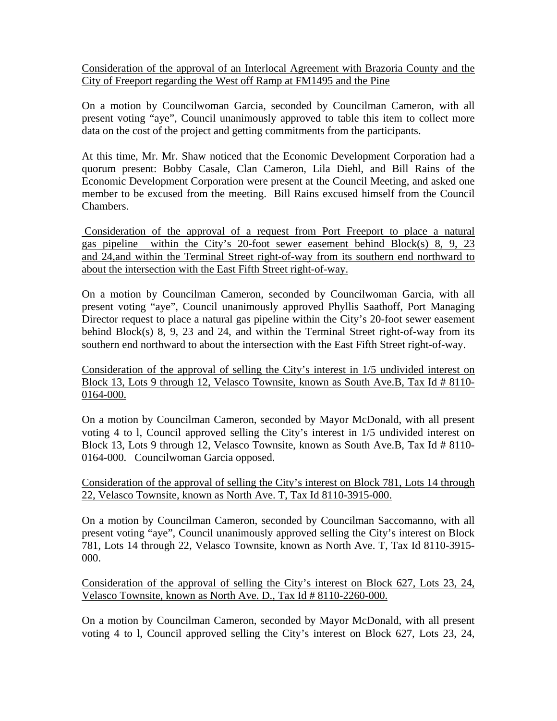Consideration of the approval of an Interlocal Agreement with Brazoria County and the City of Freeport regarding the West off Ramp at FM1495 and the Pine

On a motion by Councilwoman Garcia, seconded by Councilman Cameron, with all present voting "aye", Council unanimously approved to table this item to collect more data on the cost of the project and getting commitments from the participants.

At this time, Mr. Mr. Shaw noticed that the Economic Development Corporation had a quorum present: Bobby Casale, Clan Cameron, Lila Diehl, and Bill Rains of the Economic Development Corporation were present at the Council Meeting, and asked one member to be excused from the meeting. Bill Rains excused himself from the Council Chambers.

 Consideration of the approval of a request from Port Freeport to place a natural gas pipeline within the City's 20-foot sewer easement behind Block(s) 8, 9, 23 and 24,and within the Terminal Street right-of-way from its southern end northward to about the intersection with the East Fifth Street right-of-way.

On a motion by Councilman Cameron, seconded by Councilwoman Garcia, with all present voting "aye", Council unanimously approved Phyllis Saathoff, Port Managing Director request to place a natural gas pipeline within the City's 20-foot sewer easement behind Block(s) 8, 9, 23 and 24, and within the Terminal Street right-of-way from its southern end northward to about the intersection with the East Fifth Street right-of-way.

Consideration of the approval of selling the City's interest in 1/5 undivided interest on Block 13, Lots 9 through 12, Velasco Townsite, known as South Ave.B, Tax Id # 8110- 0164-000.

On a motion by Councilman Cameron, seconded by Mayor McDonald, with all present voting 4 to l, Council approved selling the City's interest in 1/5 undivided interest on Block 13, Lots 9 through 12, Velasco Townsite, known as South Ave.B, Tax Id # 8110- 0164-000. Councilwoman Garcia opposed.

Consideration of the approval of selling the City's interest on Block 781, Lots 14 through 22, Velasco Townsite, known as North Ave. T, Tax Id 8110-3915-000.

On a motion by Councilman Cameron, seconded by Councilman Saccomanno, with all present voting "aye", Council unanimously approved selling the City's interest on Block 781, Lots 14 through 22, Velasco Townsite, known as North Ave. T, Tax Id 8110-3915- 000.

Consideration of the approval of selling the City's interest on Block 627, Lots 23, 24, Velasco Townsite, known as North Ave. D., Tax Id # 8110-2260-000.

On a motion by Councilman Cameron, seconded by Mayor McDonald, with all present voting 4 to l, Council approved selling the City's interest on Block 627, Lots 23, 24,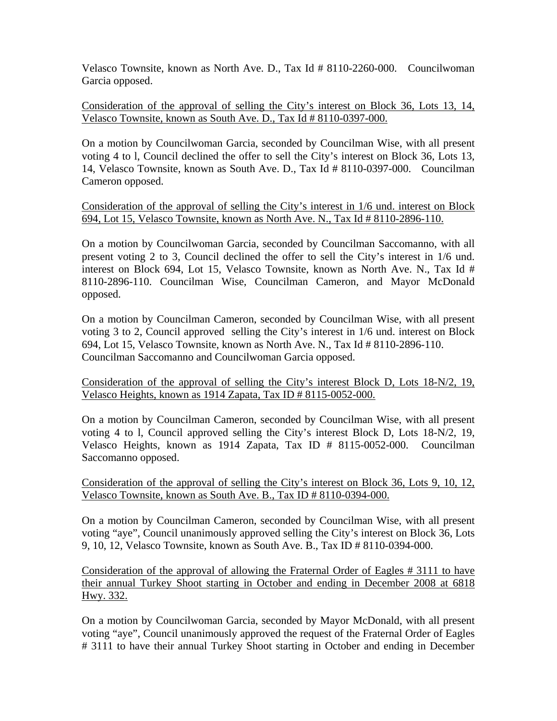Velasco Townsite, known as North Ave. D., Tax Id # 8110-2260-000. Councilwoman Garcia opposed.

Consideration of the approval of selling the City's interest on Block 36, Lots 13, 14, Velasco Townsite, known as South Ave. D., Tax Id # 8110-0397-000.

On a motion by Councilwoman Garcia, seconded by Councilman Wise, with all present voting 4 to l, Council declined the offer to sell the City's interest on Block 36, Lots 13, 14, Velasco Townsite, known as South Ave. D., Tax Id # 8110-0397-000. Councilman Cameron opposed.

Consideration of the approval of selling the City's interest in 1/6 und. interest on Block 694, Lot 15, Velasco Townsite, known as North Ave. N., Tax Id # 8110-2896-110.

On a motion by Councilwoman Garcia, seconded by Councilman Saccomanno, with all present voting 2 to 3, Council declined the offer to sell the City's interest in 1/6 und. interest on Block 694, Lot 15, Velasco Townsite, known as North Ave. N., Tax Id # 8110-2896-110. Councilman Wise, Councilman Cameron, and Mayor McDonald opposed.

On a motion by Councilman Cameron, seconded by Councilman Wise, with all present voting 3 to 2, Council approved selling the City's interest in 1/6 und. interest on Block 694, Lot 15, Velasco Townsite, known as North Ave. N., Tax Id # 8110-2896-110. Councilman Saccomanno and Councilwoman Garcia opposed.

Consideration of the approval of selling the City's interest Block D, Lots 18-N/2, 19, Velasco Heights, known as 1914 Zapata, Tax ID # 8115-0052-000.

On a motion by Councilman Cameron, seconded by Councilman Wise, with all present voting 4 to l, Council approved selling the City's interest Block D, Lots 18-N/2, 19, Velasco Heights, known as 1914 Zapata, Tax ID # 8115-0052-000. Councilman Saccomanno opposed.

Consideration of the approval of selling the City's interest on Block 36, Lots 9, 10, 12, Velasco Townsite, known as South Ave. B., Tax ID # 8110-0394-000.

On a motion by Councilman Cameron, seconded by Councilman Wise, with all present voting "aye", Council unanimously approved selling the City's interest on Block 36, Lots 9, 10, 12, Velasco Townsite, known as South Ave. B., Tax ID # 8110-0394-000.

Consideration of the approval of allowing the Fraternal Order of Eagles # 3111 to have their annual Turkey Shoot starting in October and ending in December 2008 at 6818 Hwy. 332.

On a motion by Councilwoman Garcia, seconded by Mayor McDonald, with all present voting "aye", Council unanimously approved the request of the Fraternal Order of Eagles # 3111 to have their annual Turkey Shoot starting in October and ending in December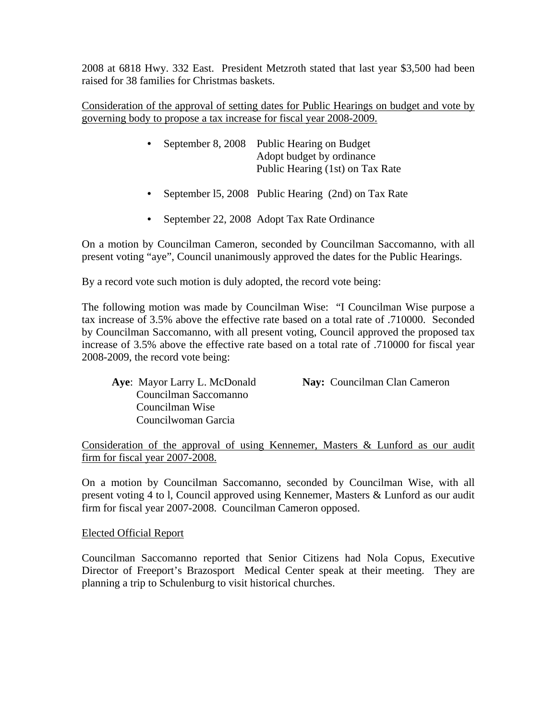2008 at 6818 Hwy. 332 East. President Metzroth stated that last year \$3,500 had been raised for 38 families for Christmas baskets.

Consideration of the approval of setting dates for Public Hearings on budget and vote by governing body to propose a tax increase for fiscal year 2008-2009.

| $\bullet$ | September 8, 2008 Public Hearing on Budget |
|-----------|--------------------------------------------|
|           | Adopt budget by ordinance                  |
|           | Public Hearing (1st) on Tax Rate           |

- September 15, 2008 Public Hearing (2nd) on Tax Rate
- September 22, 2008 Adopt Tax Rate Ordinance

On a motion by Councilman Cameron, seconded by Councilman Saccomanno, with all present voting "aye", Council unanimously approved the dates for the Public Hearings.

By a record vote such motion is duly adopted, the record vote being:

The following motion was made by Councilman Wise: "I Councilman Wise purpose a tax increase of 3.5% above the effective rate based on a total rate of .710000. Seconded by Councilman Saccomanno, with all present voting, Council approved the proposed tax increase of 3.5% above the effective rate based on a total rate of .710000 for fiscal year 2008-2009, the record vote being:

| Aye: Mayor Larry L. McDonald | Nay: Councilman Clan Cameron |
|------------------------------|------------------------------|
| Councilman Saccomanno        |                              |
| Councilman Wise              |                              |
| Councilwoman Garcia          |                              |

Consideration of the approval of using Kennemer, Masters & Lunford as our audit firm for fiscal year 2007-2008.

On a motion by Councilman Saccomanno, seconded by Councilman Wise, with all present voting 4 to l, Council approved using Kennemer, Masters & Lunford as our audit firm for fiscal year 2007-2008. Councilman Cameron opposed.

### Elected Official Report

Councilman Saccomanno reported that Senior Citizens had Nola Copus, Executive Director of Freeport's Brazosport Medical Center speak at their meeting. They are planning a trip to Schulenburg to visit historical churches.